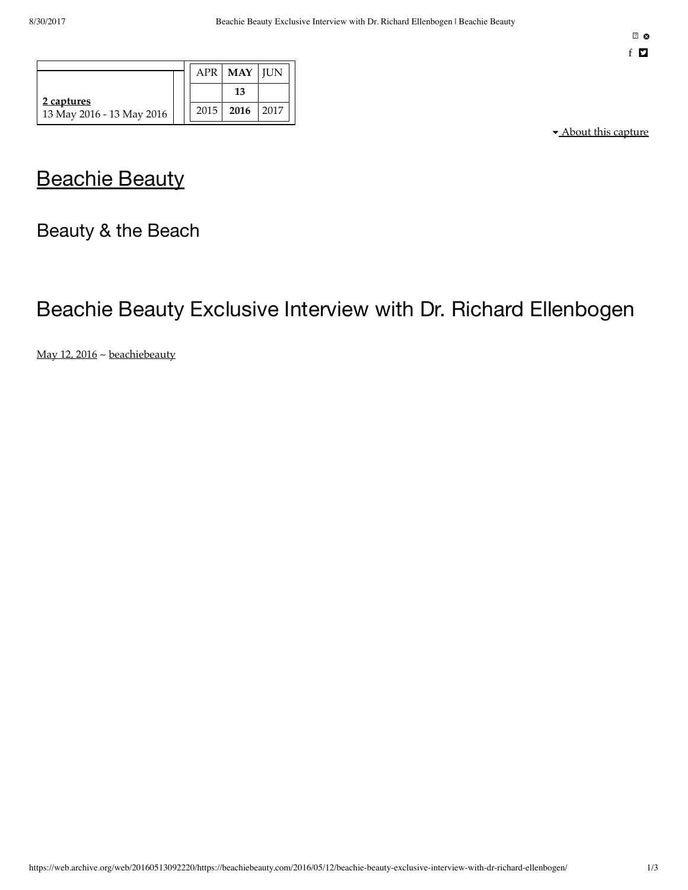|                                         | <b>APR</b> | <b>MAY   IUN</b> |      |
|-----------------------------------------|------------|------------------|------|
| 2 captures<br>13 May 2016 - 13 May 2016 |            | 13               |      |
|                                         | 2015       | 2016             | 2017 |

▾ About this capture

## **[Beachie](https://web.archive.org/web/20160513092220/http://beachiebeauty.com/) Beauty**

Beauty & the Beach

# Beachie Beauty Exclusive Interview with Dr. Richard Ellenbogen

[May 12, 2016](https://web.archive.org/web/20160513092220/http://beachiebeauty.com/2016/05/12/beachie-beauty-exclusive-interview-with-dr-richard-ellenbogen/) ~ [beachiebeauty](https://web.archive.org/web/20160513092220/http://beachiebeauty.com/author/beachiebeauty/)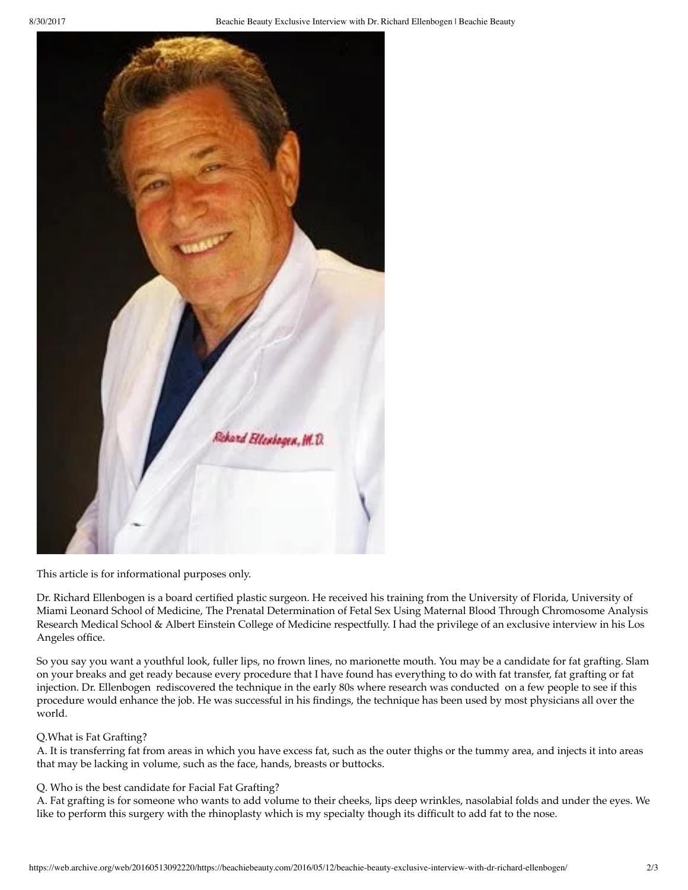

This article is for informational purposes only.

Dr. Richard Ellenbogen is a board certified plastic surgeon. He received his training from the University of Florida, University of Miami Leonard School of Medicine, The Prenatal Determination of Fetal Sex Using Maternal Blood Through Chromosome Analysis Research Medical School & Albert Einstein College of Medicine respectfully. I had the privilege of an exclusive interview in his Los Angeles office.

So you say you want a youthful look, fuller lips, no frown lines, no marionette mouth. You may be a candidate for fat grafting. Slam on your breaks and get ready because every procedure that I have found has everything to do with fat transfer, fat grafting or fat injection. Dr. Ellenbogen rediscovered the technique in the early 80s where research was conducted on a few people to see if this procedure would enhance the job. He was successful in his findings, the technique has been used by most physicians all over the world.

#### Q.What is Fat Grafting?

A. It is transferring fat from areas in which you have excess fat, such as the outer thighs or the tummy area, and injects it into areas that may be lacking in volume, such as the face, hands, breasts or buttocks.

#### Q. Who is the best candidate for Facial Fat Grafting?

A. Fat grafting is for someone who wants to add volume to their cheeks, lips deep wrinkles, nasolabial folds and under the eyes. We like to perform this surgery with the rhinoplasty which is my specialty though its difficult to add fat to the nose.